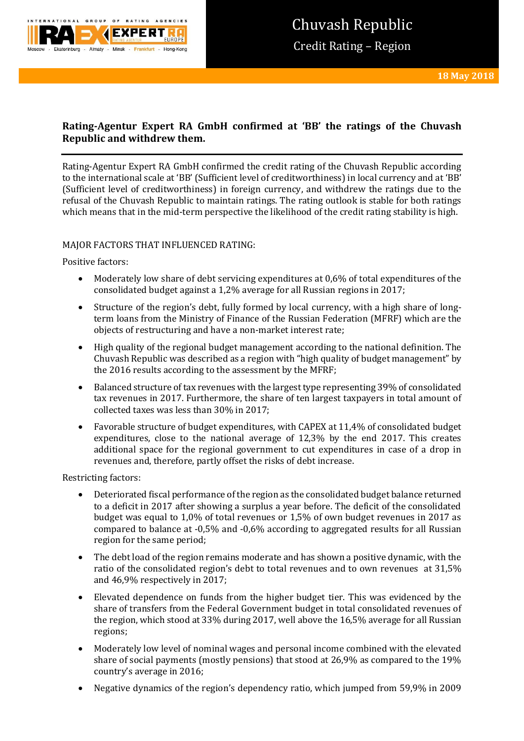

# **Rating-Agentur Expert RA GmbH confirmed at 'BB' the ratings of the Chuvash Republic and withdrew them.**

Rating-Agentur Expert RA GmbH confirmed the credit rating of the Chuvash Republic according to the international scale at 'BB' (Sufficient level of creditworthiness) in local currency and at 'BB' (Sufficient level of creditworthiness) in foreign currency, and withdrew the ratings due to the refusal of the Chuvash Republic to maintain ratings. The rating outlook is stable for both ratings which means that in the mid-term perspective the likelihood of the credit rating stability is high.

### MAJOR FACTORS THAT INFLUENCED RATING:

Positive factors:

- Moderately low share of debt servicing expenditures at 0,6% of total expenditures of the consolidated budget against a 1,2% average for all Russian regions in 2017;
- Structure of the region's debt, fully formed by local currency, with a high share of longterm loans from the Ministry of Finance of the Russian Federation (MFRF) which are the objects of restructuring and have a non-market interest rate;
- High quality of the regional budget management according to the national definition. The Chuvash Republic was described as a region with "high quality of budget management" by the 2016 results according to the assessment by the MFRF;
- Balanced structure of tax revenues with the largest type representing 39% of consolidated tax revenues in 2017. Furthermore, the share of ten largest taxpayers in total amount of collected taxes was less than 30% in 2017;
- Favorable structure of budget expenditures, with CAPEX at 11,4% of consolidated budget expenditures, close to the national average of 12,3% by the end 2017. This creates additional space for the regional government to cut expenditures in case of a drop in revenues and, therefore, partly offset the risks of debt increase.

Restricting factors:

- Deteriorated fiscal performance of the region as the consolidated budget balance returned to a deficit in 2017 after showing a surplus a year before. The deficit of the consolidated budget was equal to 1,0% of total revenues or 1,5% of own budget revenues in 2017 as compared to balance at -0,5% and -0,6% according to aggregated results for all Russian region for the same period;
- The debt load of the region remains moderate and has shown a positive dynamic, with the ratio of the consolidated region's debt to total revenues and to own revenues at 31,5% and 46,9% respectively in 2017;
- Elevated dependence on funds from the higher budget tier. This was evidenced by the share of transfers from the Federal Government budget in total consolidated revenues of the region, which stood at 33% during 2017, well above the 16,5% average for all Russian regions;
- Moderately low level of nominal wages and personal income combined with the elevated share of social payments (mostly pensions) that stood at 26,9% as compared to the 19% country's average in 2016;
- Negative dynamics of the region's dependency ratio, which jumped from 59,9% in 2009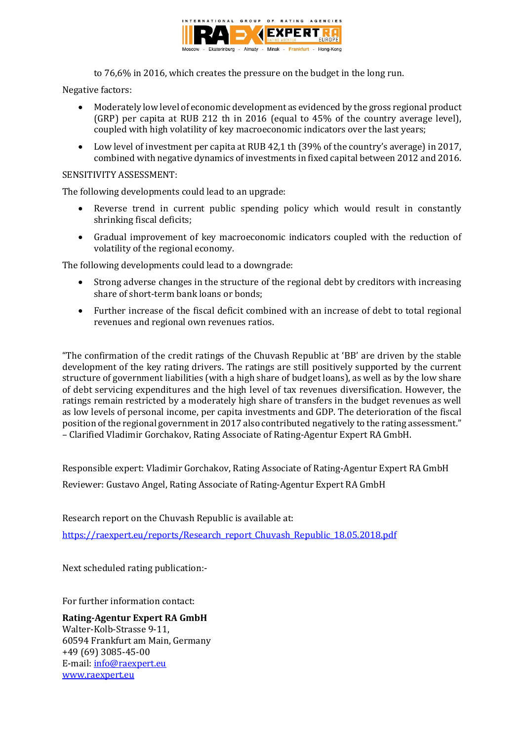

to 76,6% in 2016, which creates the pressure on the budget in the long run.

Negative factors:

- Moderately low level of economic development as evidenced by the gross regional product (GRP) per capita at RUB 212 th in 2016 (equal to 45% of the country average level), coupled with high volatility of key macroeconomic indicators over the last years;
- Low level of investment per capita at RUB 42,1 th (39% of the country's average) in 2017, combined with negative dynamics of investments in fixed capital between 2012 and 2016.

## SENSITIVITY ASSESSMENT:

The following developments could lead to an upgrade:

- Reverse trend in current public spending policy which would result in constantly shrinking fiscal deficits;
- Gradual improvement of key macroeconomic indicators coupled with the reduction of volatility of the regional economy.

The following developments could lead to a downgrade:

- Strong adverse changes in the structure of the regional debt by creditors with increasing share of short-term bank loans or bonds;
- Further increase of the fiscal deficit combined with an increase of debt to total regional revenues and regional own revenues ratios.

"The confirmation of the credit ratings of the Chuvash Republic at 'BB' are driven by the stable development of the key rating drivers. The ratings are still positively supported by the current structure of government liabilities (with a high share of budget loans), as well as by the low share of debt servicing expenditures and the high level of tax revenues diversification. However, the ratings remain restricted by a moderately high share of transfers in the budget revenues as well as low levels of personal income, per capita investments and GDP. The deterioration of the fiscal position of the regional government in 2017 also contributed negatively to the rating assessment." – Clarified Vladimir Gorchakov, Rating Associate of Rating-Agentur Expert RA GmbH.

Responsible expert: Vladimir Gorchakov, Rating Associate of Rating-Agentur Expert RA GmbH

Reviewer: Gustavo Angel, Rating Associate of Rating-Agentur Expert RA GmbH

Research report on the Chuvash Republic is available at: [https://raexpert.eu/reports/Research\\_report\\_Chuvash\\_Republic\\_18.05.2018.pdf](https://raexpert.eu/reports/Research_report_Chuvash_Republic_18.05.2018.pdf)

Next scheduled rating publication:-

For further information contact:

**Rating-Agentur Expert RA GmbH** Walter-Kolb-Strasse 9-11, 60594 Frankfurt am Main, Germany +49 (69) 3085-45-00 E-mail[: info@raexpert.eu](mailto:info@raexpert.eu) [www.raexpert.eu](http://raexpert.eu/)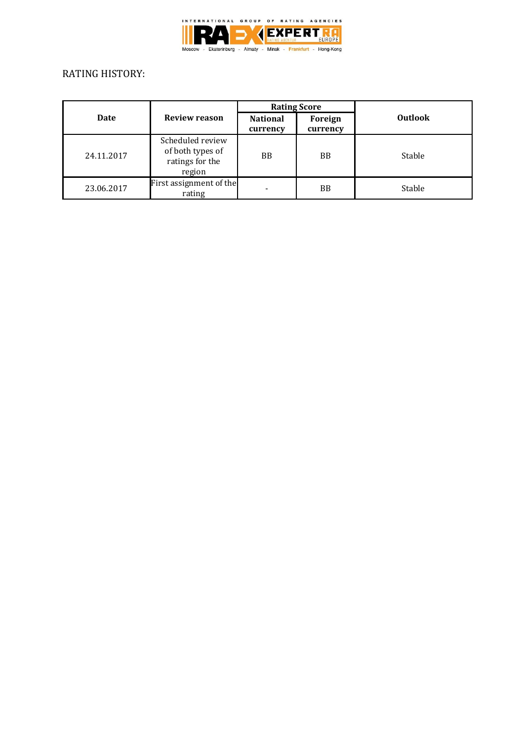

## RATING HISTORY:

| Date       | <b>Review reason</b>                                              | <b>Rating Score</b>         |                     |                |
|------------|-------------------------------------------------------------------|-----------------------------|---------------------|----------------|
|            |                                                                   | <b>National</b><br>currency | Foreign<br>currency | <b>Outlook</b> |
| 24.11.2017 | Scheduled review<br>of both types of<br>ratings for the<br>region | BB                          | <b>BB</b>           | Stable         |
| 23.06.2017 | First assignment of the<br>rating                                 |                             | BB                  | Stable         |